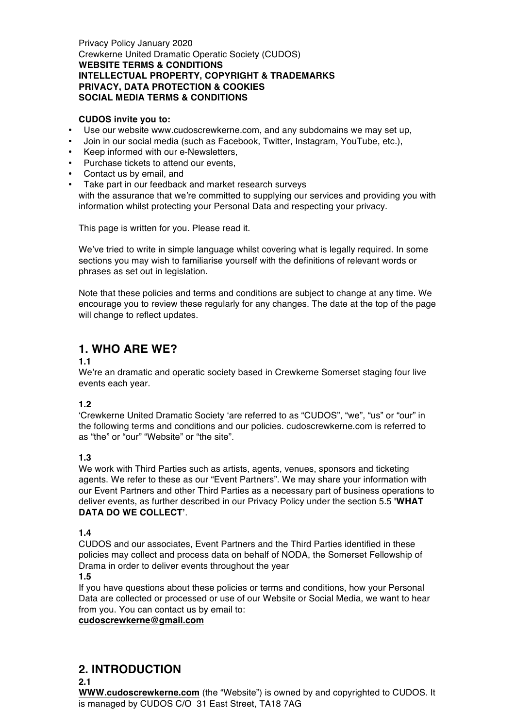Privacy Policy January 2020 Crewkerne United Dramatic Operatic Society (CUDOS) **WEBSITE TERMS & CONDITIONS INTELLECTUAL PROPERTY, COPYRIGHT & TRADEMARKS PRIVACY, DATA PROTECTION & COOKIES SOCIAL MEDIA TERMS & CONDITIONS**

#### **CUDOS invite you to:**

- Use our website www.cudoscrewkerne.com, and any subdomains we may set up,
- Join in our social media (such as Facebook, Twitter, Instagram, YouTube, etc.),
- Keep informed with our e-Newsletters,
- Purchase tickets to attend our events,
- Contact us by email, and
- Take part in our feedback and market research surveys with the assurance that we're committed to supplying our services and providing you with information whilst protecting your Personal Data and respecting your privacy.

This page is written for you. Please read it.

We've tried to write in simple language whilst covering what is legally required. In some sections you may wish to familiarise yourself with the definitions of relevant words or phrases as set out in legislation.

Note that these policies and terms and conditions are subject to change at any time. We encourage you to review these regularly for any changes. The date at the top of the page will change to reflect updates.

# **1. WHO ARE WE?**

## **1.1**

We're an dramatic and operatic society based in Crewkerne Somerset staging four live events each year.

## **1.2**

'Crewkerne United Dramatic Society 'are referred to as "CUDOS", "we", "us" or "our" in the following terms and conditions and our policies. cudoscrewkerne.com is referred to as "the" or "our" "Website" or "the site".

## **1.3**

We work with Third Parties such as artists, agents, venues, sponsors and ticketing agents. We refer to these as our "Event Partners". We may share your information with our Event Partners and other Third Parties as a necessary part of business operations to deliver events, as further described in our Privacy Policy under the section 5.5 **'WHAT DATA DO WE COLLECT'**.

#### **1.4**

CUDOS and our associates, Event Partners and the Third Parties identified in these policies may collect and process data on behalf of NODA, the Somerset Fellowship of Drama in order to deliver events throughout the year

#### **1.5**

If you have questions about these policies or terms and conditions, how your Personal Data are collected or processed or use of our Website or Social Media, we want to hear from you. You can contact us by email to:

## **cudoscrewkerne@gmail.com**

# **2. INTRODUCTION**

**2.1**

**WWW.cudoscrewkerne.com** (the "Website") is owned by and copyrighted to CUDOS. It is managed by CUDOS C/O 31 East Street, TA18 7AG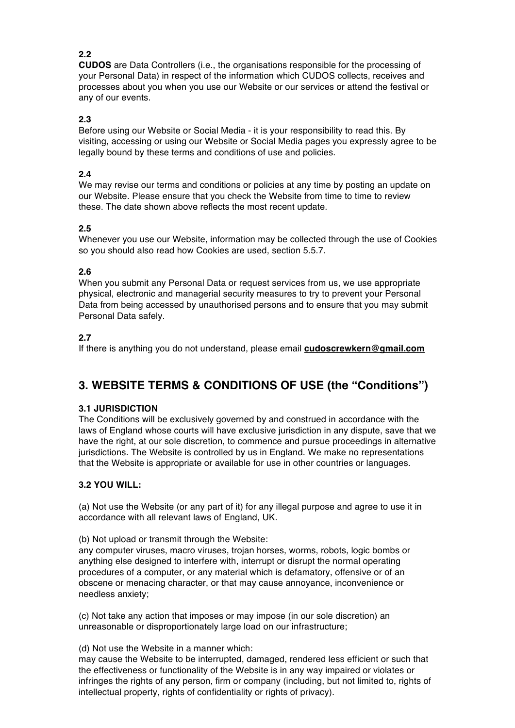## **2.2**

**CUDOS** are Data Controllers (i.e., the organisations responsible for the processing of your Personal Data) in respect of the information which CUDOS collects, receives and processes about you when you use our Website or our services or attend the festival or any of our events.

## **2.3**

Before using our Website or Social Media - it is your responsibility to read this. By visiting, accessing or using our Website or Social Media pages you expressly agree to be legally bound by these terms and conditions of use and policies.

## **2.4**

We may revise our terms and conditions or policies at any time by posting an update on our Website. Please ensure that you check the Website from time to time to review these. The date shown above reflects the most recent update.

## **2.5**

Whenever you use our Website, information may be collected through the use of Cookies so you should also read how Cookies are used, section 5.5.7.

## **2.6**

When you submit any Personal Data or request services from us, we use appropriate physical, electronic and managerial security measures to try to prevent your Personal Data from being accessed by unauthorised persons and to ensure that you may submit Personal Data safely.

## **2.7**

If there is anything you do not understand, please email **cudoscrewkern@gmail.com**

# **3. WEBSITE TERMS & CONDITIONS OF USE (the "Conditions")**

## **3.1 JURISDICTION**

The Conditions will be exclusively governed by and construed in accordance with the laws of England whose courts will have exclusive jurisdiction in any dispute, save that we have the right, at our sole discretion, to commence and pursue proceedings in alternative jurisdictions. The Website is controlled by us in England. We make no representations that the Website is appropriate or available for use in other countries or languages.

## **3.2 YOU WILL:**

(a) Not use the Website (or any part of it) for any illegal purpose and agree to use it in accordance with all relevant laws of England, UK.

(b) Not upload or transmit through the Website:

any computer viruses, macro viruses, trojan horses, worms, robots, logic bombs or anything else designed to interfere with, interrupt or disrupt the normal operating procedures of a computer, or any material which is defamatory, offensive or of an obscene or menacing character, or that may cause annoyance, inconvenience or needless anxiety;

(c) Not take any action that imposes or may impose (in our sole discretion) an unreasonable or disproportionately large load on our infrastructure;

#### (d) Not use the Website in a manner which:

may cause the Website to be interrupted, damaged, rendered less efficient or such that the effectiveness or functionality of the Website is in any way impaired or violates or infringes the rights of any person, firm or company (including, but not limited to, rights of intellectual property, rights of confidentiality or rights of privacy).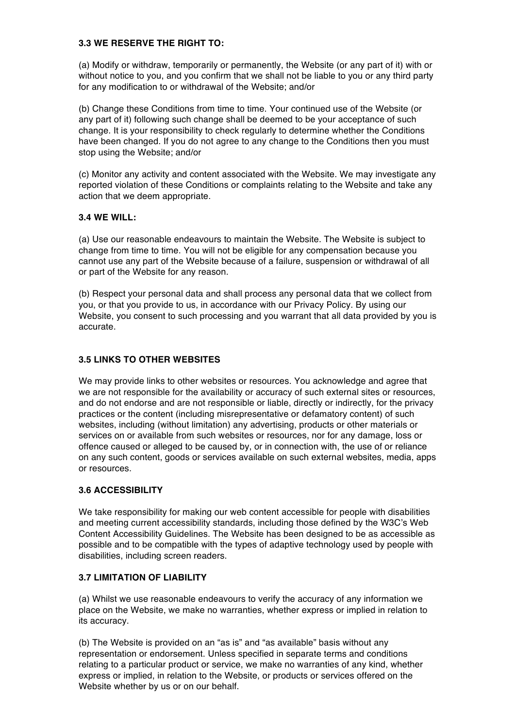## **3.3 WE RESERVE THE RIGHT TO:**

(a) Modify or withdraw, temporarily or permanently, the Website (or any part of it) with or without notice to you, and you confirm that we shall not be liable to you or any third party for any modification to or withdrawal of the Website; and/or

(b) Change these Conditions from time to time. Your continued use of the Website (or any part of it) following such change shall be deemed to be your acceptance of such change. It is your responsibility to check regularly to determine whether the Conditions have been changed. If you do not agree to any change to the Conditions then you must stop using the Website; and/or

(c) Monitor any activity and content associated with the Website. We may investigate any reported violation of these Conditions or complaints relating to the Website and take any action that we deem appropriate.

## **3.4 WE WILL:**

(a) Use our reasonable endeavours to maintain the Website. The Website is subject to change from time to time. You will not be eligible for any compensation because you cannot use any part of the Website because of a failure, suspension or withdrawal of all or part of the Website for any reason.

(b) Respect your personal data and shall process any personal data that we collect from you, or that you provide to us, in accordance with our Privacy Policy. By using our Website, you consent to such processing and you warrant that all data provided by you is accurate.

## **3.5 LINKS TO OTHER WEBSITES**

We may provide links to other websites or resources. You acknowledge and agree that we are not responsible for the availability or accuracy of such external sites or resources, and do not endorse and are not responsible or liable, directly or indirectly, for the privacy practices or the content (including misrepresentative or defamatory content) of such websites, including (without limitation) any advertising, products or other materials or services on or available from such websites or resources, nor for any damage, loss or offence caused or alleged to be caused by, or in connection with, the use of or reliance on any such content, goods or services available on such external websites, media, apps or resources.

## **3.6 ACCESSIBILITY**

We take responsibility for making our web content accessible for people with disabilities and meeting current accessibility standards, including those defined by the W3C's Web Content Accessibility Guidelines. The Website has been designed to be as accessible as possible and to be compatible with the types of adaptive technology used by people with disabilities, including screen readers.

#### **3.7 LIMITATION OF LIABILITY**

(a) Whilst we use reasonable endeavours to verify the accuracy of any information we place on the Website, we make no warranties, whether express or implied in relation to its accuracy.

(b) The Website is provided on an "as is" and "as available" basis without any representation or endorsement. Unless specified in separate terms and conditions relating to a particular product or service, we make no warranties of any kind, whether express or implied, in relation to the Website, or products or services offered on the Website whether by us or on our behalf.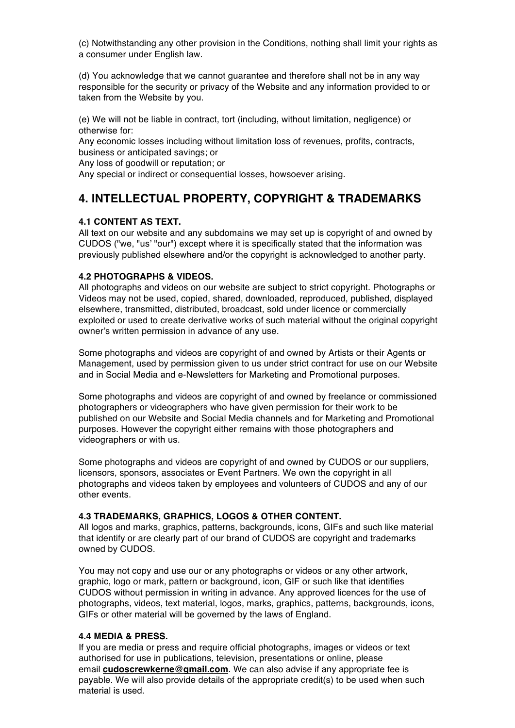(c) Notwithstanding any other provision in the Conditions, nothing shall limit your rights as a consumer under English law.

(d) You acknowledge that we cannot guarantee and therefore shall not be in any way responsible for the security or privacy of the Website and any information provided to or taken from the Website by you.

(e) We will not be liable in contract, tort (including, without limitation, negligence) or otherwise for:

Any economic losses including without limitation loss of revenues, profits, contracts, business or anticipated savings; or

Any loss of goodwill or reputation; or

Any special or indirect or consequential losses, howsoever arising.

# **4. INTELLECTUAL PROPERTY, COPYRIGHT & TRADEMARKS**

## **4.1 CONTENT AS TEXT.**

All text on our website and any subdomains we may set up is copyright of and owned by CUDOS ("we, "us' "our") except where it is specifically stated that the information was previously published elsewhere and/or the copyright is acknowledged to another party.

## **4.2 PHOTOGRAPHS & VIDEOS.**

All photographs and videos on our website are subject to strict copyright. Photographs or Videos may not be used, copied, shared, downloaded, reproduced, published, displayed elsewhere, transmitted, distributed, broadcast, sold under licence or commercially exploited or used to create derivative works of such material without the original copyright owner's written permission in advance of any use.

Some photographs and videos are copyright of and owned by Artists or their Agents or Management, used by permission given to us under strict contract for use on our Website and in Social Media and e-Newsletters for Marketing and Promotional purposes.

Some photographs and videos are copyright of and owned by freelance or commissioned photographers or videographers who have given permission for their work to be published on our Website and Social Media channels and for Marketing and Promotional purposes. However the copyright either remains with those photographers and videographers or with us.

Some photographs and videos are copyright of and owned by CUDOS or our suppliers, licensors, sponsors, associates or Event Partners. We own the copyright in all photographs and videos taken by employees and volunteers of CUDOS and any of our other events.

#### **4.3 TRADEMARKS, GRAPHICS, LOGOS & OTHER CONTENT.**

All logos and marks, graphics, patterns, backgrounds, icons, GIFs and such like material that identify or are clearly part of our brand of CUDOS are copyright and trademarks owned by CUDOS.

You may not copy and use our or any photographs or videos or any other artwork, graphic, logo or mark, pattern or background, icon, GIF or such like that identifies CUDOS without permission in writing in advance. Any approved licences for the use of photographs, videos, text material, logos, marks, graphics, patterns, backgrounds, icons, GIFs or other material will be governed by the laws of England.

#### **4.4 MEDIA & PRESS.**

If you are media or press and require official photographs, images or videos or text authorised for use in publications, television, presentations or online, please email **cudoscrewkerne@gmail.com**. We can also advise if any appropriate fee is payable. We will also provide details of the appropriate credit(s) to be used when such material is used.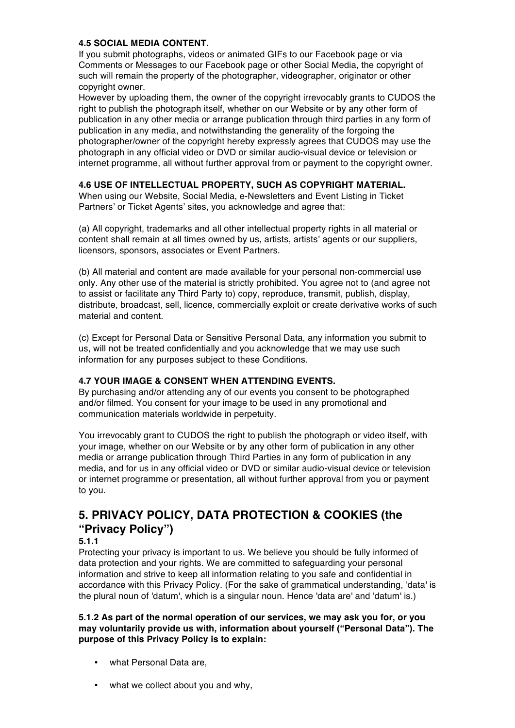## **4.5 SOCIAL MEDIA CONTENT.**

If you submit photographs, videos or animated GIFs to our Facebook page or via Comments or Messages to our Facebook page or other Social Media, the copyright of such will remain the property of the photographer, videographer, originator or other copyright owner.

However by uploading them, the owner of the copyright irrevocably grants to CUDOS the right to publish the photograph itself, whether on our Website or by any other form of publication in any other media or arrange publication through third parties in any form of publication in any media, and notwithstanding the generality of the forgoing the photographer/owner of the copyright hereby expressly agrees that CUDOS may use the photograph in any official video or DVD or similar audio-visual device or television or internet programme, all without further approval from or payment to the copyright owner.

#### **4.6 USE OF INTELLECTUAL PROPERTY, SUCH AS COPYRIGHT MATERIAL.**

When using our Website, Social Media, e-Newsletters and Event Listing in Ticket Partners' or Ticket Agents' sites, you acknowledge and agree that:

(a) All copyright, trademarks and all other intellectual property rights in all material or content shall remain at all times owned by us, artists, artists' agents or our suppliers, licensors, sponsors, associates or Event Partners.

(b) All material and content are made available for your personal non-commercial use only. Any other use of the material is strictly prohibited. You agree not to (and agree not to assist or facilitate any Third Party to) copy, reproduce, transmit, publish, display, distribute, broadcast, sell, licence, commercially exploit or create derivative works of such material and content.

(c) Except for Personal Data or Sensitive Personal Data, any information you submit to us, will not be treated confidentially and you acknowledge that we may use such information for any purposes subject to these Conditions.

## **4.7 YOUR IMAGE & CONSENT WHEN ATTENDING EVENTS.**

By purchasing and/or attending any of our events you consent to be photographed and/or filmed. You consent for your image to be used in any promotional and communication materials worldwide in perpetuity.

You irrevocably grant to CUDOS the right to publish the photograph or video itself, with your image, whether on our Website or by any other form of publication in any other media or arrange publication through Third Parties in any form of publication in any media, and for us in any official video or DVD or similar audio-visual device or television or internet programme or presentation, all without further approval from you or payment to you.

# **5. PRIVACY POLICY, DATA PROTECTION & COOKIES (the "Privacy Policy")**

#### **5.1.1**

Protecting your privacy is important to us. We believe you should be fully informed of data protection and your rights. We are committed to safeguarding your personal information and strive to keep all information relating to you safe and confidential in accordance with this Privacy Policy. (For the sake of grammatical understanding, 'data' is the plural noun of 'datum', which is a singular noun. Hence 'data are' and 'datum' is.)

#### **5.1.2 As part of the normal operation of our services, we may ask you for, or you may voluntarily provide us with, information about yourself ("Personal Data"). The purpose of this Privacy Policy is to explain:**

- what Personal Data are,
- what we collect about you and why,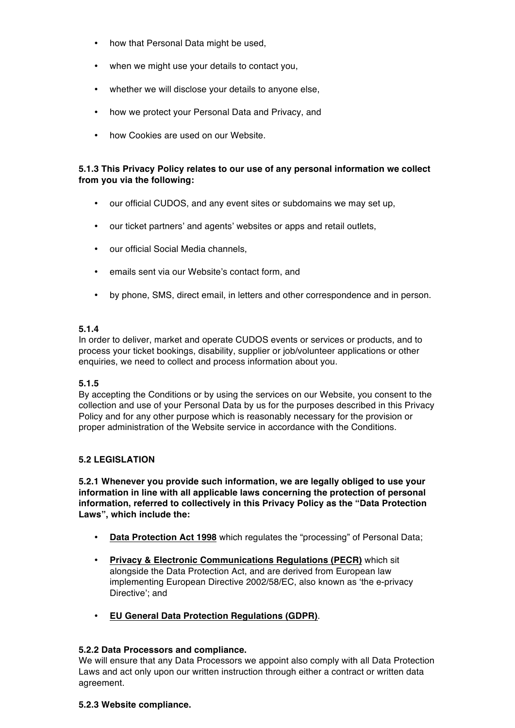- how that Personal Data might be used,
- when we might use your details to contact you,
- whether we will disclose your details to anyone else,
- how we protect your Personal Data and Privacy, and
- how Cookies are used on our Website.

## **5.1.3 This Privacy Policy relates to our use of any personal information we collect from you via the following:**

- our official CUDOS, and any event sites or subdomains we may set up,
- our ticket partners' and agents' websites or apps and retail outlets,
- our official Social Media channels,
- emails sent via our Website's contact form, and
- by phone, SMS, direct email, in letters and other correspondence and in person.

## **5.1.4**

In order to deliver, market and operate CUDOS events or services or products, and to process your ticket bookings, disability, supplier or job/volunteer applications or other enquiries, we need to collect and process information about you.

## **5.1.5**

By accepting the Conditions or by using the services on our Website, you consent to the collection and use of your Personal Data by us for the purposes described in this Privacy Policy and for any other purpose which is reasonably necessary for the provision or proper administration of the Website service in accordance with the Conditions.

# **5.2 LEGISLATION**

**5.2.1 Whenever you provide such information, we are legally obliged to use your information in line with all applicable laws concerning the protection of personal information, referred to collectively in this Privacy Policy as the "Data Protection Laws", which include the:**

- **Data Protection Act 1998** which regulates the "processing" of Personal Data;
- **Privacy & Electronic Communications Regulations (PECR)** which sit alongside the Data Protection Act, and are derived from European law implementing European Directive 2002/58/EC, also known as 'the e-privacy Directive'; and
- **EU General Data Protection Regulations (GDPR)**.

## **5.2.2 Data Processors and compliance.**

We will ensure that any Data Processors we appoint also comply with all Data Protection Laws and act only upon our written instruction through either a contract or written data agreement.

## **5.2.3 Website compliance.**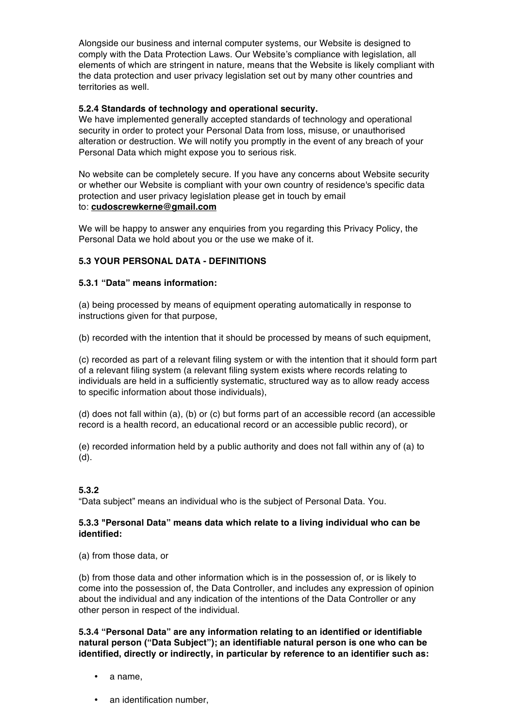Alongside our business and internal computer systems, our Website is designed to comply with the Data Protection Laws. Our Website's compliance with legislation, all elements of which are stringent in nature, means that the Website is likely compliant with the data protection and user privacy legislation set out by many other countries and territories as well.

## **5.2.4 Standards of technology and operational security.**

We have implemented generally accepted standards of technology and operational security in order to protect your Personal Data from loss, misuse, or unauthorised alteration or destruction. We will notify you promptly in the event of any breach of your Personal Data which might expose you to serious risk.

No website can be completely secure. If you have any concerns about Website security or whether our Website is compliant with your own country of residence's specific data protection and user privacy legislation please get in touch by email to: **cudoscrewkerne@gmail.com**

We will be happy to answer any enquiries from you regarding this Privacy Policy, the Personal Data we hold about you or the use we make of it.

## **5.3 YOUR PERSONAL DATA - DEFINITIONS**

## **5.3.1 "Data" means information:**

(a) being processed by means of equipment operating automatically in response to instructions given for that purpose,

(b) recorded with the intention that it should be processed by means of such equipment,

(c) recorded as part of a relevant filing system or with the intention that it should form part of a relevant filing system (a relevant filing system exists where records relating to individuals are held in a sufficiently systematic, structured way as to allow ready access to specific information about those individuals),

(d) does not fall within (a), (b) or (c) but forms part of an accessible record (an accessible record is a health record, an educational record or an accessible public record), or

(e) recorded information held by a public authority and does not fall within any of (a) to (d).

# **5.3.2**

"Data subject" means an individual who is the subject of Personal Data. You.

## **5.3.3 "Personal Data" means data which relate to a living individual who can be identified:**

(a) from those data, or

(b) from those data and other information which is in the possession of, or is likely to come into the possession of, the Data Controller, and includes any expression of opinion about the individual and any indication of the intentions of the Data Controller or any other person in respect of the individual.

**5.3.4 "Personal Data" are any information relating to an identified or identifiable natural person ("Data Subject"); an identifiable natural person is one who can be identified, directly or indirectly, in particular by reference to an identifier such as:**

- a name,
- an identification number,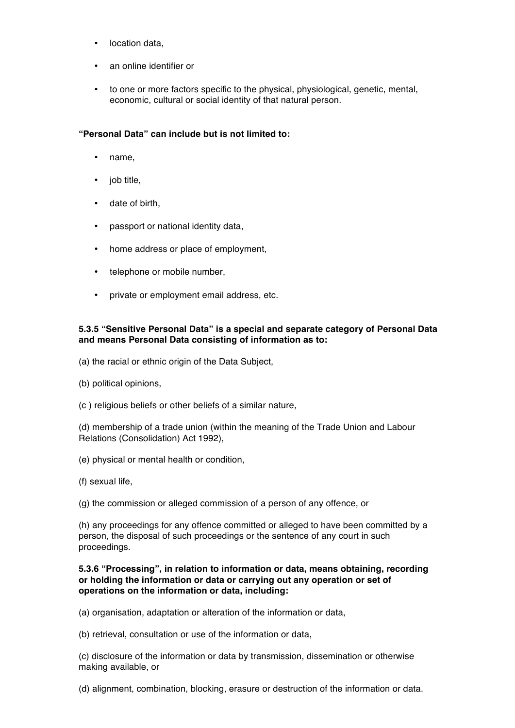- location data,
- an online identifier or
- to one or more factors specific to the physical, physiological, genetic, mental, economic, cultural or social identity of that natural person.

## **"Personal Data" can include but is not limited to:**

- name,
- job title,
- date of birth,
- passport or national identity data,
- home address or place of employment,
- telephone or mobile number.
- private or employment email address, etc.

## **5.3.5 "Sensitive Personal Data" is a special and separate category of Personal Data and means Personal Data consisting of information as to:**

- (a) the racial or ethnic origin of the Data Subject,
- (b) political opinions,
- (c ) religious beliefs or other beliefs of a similar nature,

(d) membership of a trade union (within the meaning of the Trade Union and Labour Relations (Consolidation) Act 1992),

- (e) physical or mental health or condition,
- (f) sexual life,

(g) the commission or alleged commission of a person of any offence, or

(h) any proceedings for any offence committed or alleged to have been committed by a person, the disposal of such proceedings or the sentence of any court in such proceedings.

#### **5.3.6 "Processing", in relation to information or data, means obtaining, recording or holding the information or data or carrying out any operation or set of operations on the information or data, including:**

(a) organisation, adaptation or alteration of the information or data,

(b) retrieval, consultation or use of the information or data,

(c) disclosure of the information or data by transmission, dissemination or otherwise making available, or

(d) alignment, combination, blocking, erasure or destruction of the information or data.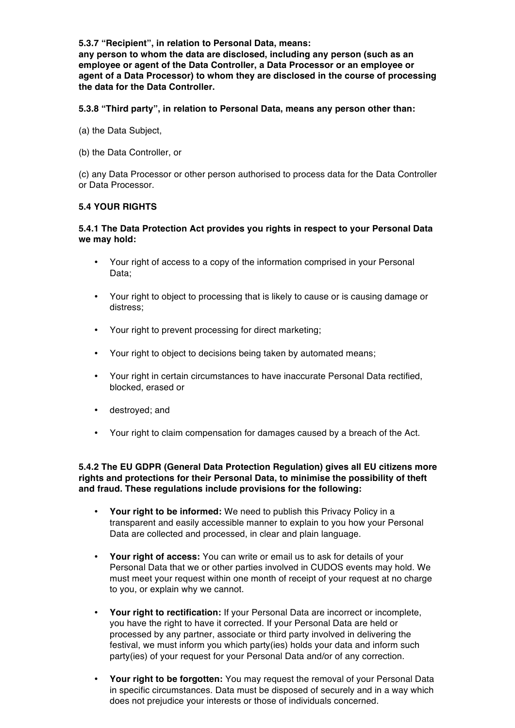**5.3.7 "Recipient", in relation to Personal Data, means: any person to whom the data are disclosed, including any person (such as an employee or agent of the Data Controller, a Data Processor or an employee or agent of a Data Processor) to whom they are disclosed in the course of processing the data for the Data Controller.**

**5.3.8 "Third party", in relation to Personal Data, means any person other than:**

(a) the Data Subject,

(b) the Data Controller, or

(c) any Data Processor or other person authorised to process data for the Data Controller or Data Processor.

## **5.4 YOUR RIGHTS**

#### **5.4.1 The Data Protection Act provides you rights in respect to your Personal Data we may hold:**

- Your right of access to a copy of the information comprised in your Personal Data;
- Your right to object to processing that is likely to cause or is causing damage or distress;
- Your right to prevent processing for direct marketing;
- Your right to object to decisions being taken by automated means;
- Your right in certain circumstances to have inaccurate Personal Data rectified, blocked, erased or
- destroyed; and
- Your right to claim compensation for damages caused by a breach of the Act.

#### **5.4.2 The EU GDPR (General Data Protection Regulation) gives all EU citizens more rights and protections for their Personal Data, to minimise the possibility of theft and fraud. These regulations include provisions for the following:**

- **Your right to be informed:** We need to publish this Privacy Policy in a transparent and easily accessible manner to explain to you how your Personal Data are collected and processed, in clear and plain language.
- **Your right of access:** You can write or email us to ask for details of your Personal Data that we or other parties involved in CUDOS events may hold. We must meet your request within one month of receipt of your request at no charge to you, or explain why we cannot.
- **Your right to rectification:** If your Personal Data are incorrect or incomplete, you have the right to have it corrected. If your Personal Data are held or processed by any partner, associate or third party involved in delivering the festival, we must inform you which party(ies) holds your data and inform such party(ies) of your request for your Personal Data and/or of any correction.
- **Your right to be forgotten:** You may request the removal of your Personal Data in specific circumstances. Data must be disposed of securely and in a way which does not prejudice your interests or those of individuals concerned.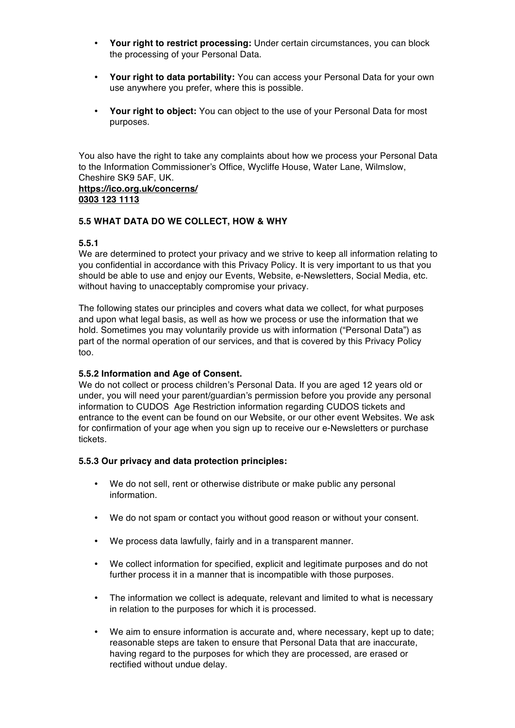- **Your right to restrict processing:** Under certain circumstances, you can block the processing of your Personal Data.
- **Your right to data portability:** You can access your Personal Data for your own use anywhere you prefer, where this is possible.
- **Your right to object:** You can object to the use of your Personal Data for most purposes.

You also have the right to take any complaints about how we process your Personal Data to the Information Commissioner's Office, Wycliffe House, Water Lane, Wilmslow, Cheshire SK9 5AF, UK. **https://ico.org.uk/concerns/ 0303 123 1113**

#### **5.5 WHAT DATA DO WE COLLECT, HOW & WHY**

#### **5.5.1**

We are determined to protect your privacy and we strive to keep all information relating to you confidential in accordance with this Privacy Policy. It is very important to us that you should be able to use and enjoy our Events, Website, e-Newsletters, Social Media, etc. without having to unacceptably compromise your privacy.

The following states our principles and covers what data we collect, for what purposes and upon what legal basis, as well as how we process or use the information that we hold. Sometimes you may voluntarily provide us with information ("Personal Data") as part of the normal operation of our services, and that is covered by this Privacy Policy too.

#### **5.5.2 Information and Age of Consent.**

We do not collect or process children's Personal Data. If you are aged 12 years old or under, you will need your parent/guardian's permission before you provide any personal information to CUDOS Age Restriction information regarding CUDOS tickets and entrance to the event can be found on our Website, or our other event Websites. We ask for confirmation of your age when you sign up to receive our e-Newsletters or purchase tickets.

#### **5.5.3 Our privacy and data protection principles:**

- We do not sell, rent or otherwise distribute or make public any personal information.
- We do not spam or contact you without good reason or without your consent.
- We process data lawfully, fairly and in a transparent manner.
- We collect information for specified, explicit and legitimate purposes and do not further process it in a manner that is incompatible with those purposes.
- The information we collect is adequate, relevant and limited to what is necessary in relation to the purposes for which it is processed.
- We aim to ensure information is accurate and, where necessary, kept up to date; reasonable steps are taken to ensure that Personal Data that are inaccurate, having regard to the purposes for which they are processed, are erased or rectified without undue delay.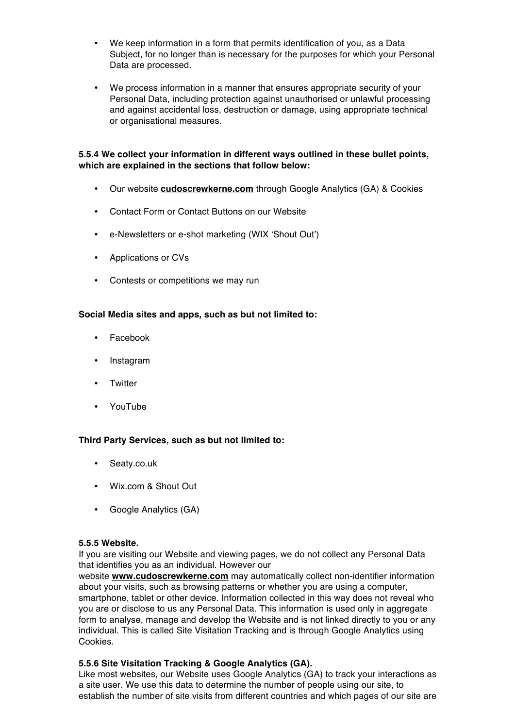- We keep information in a form that permits identification of you, as a Data Subject, for no longer than is necessary for the purposes for which your Personal Data are processed.
- We process information in a manner that ensures appropriate security of your Personal Data, including protection against unauthorised or unlawful processing and against accidental loss, destruction or damage, using appropriate technical or organisational measures.

## **5.5.4 We collect your information in different ways outlined in these bullet points, which are explained in the sections that follow below:**

- Our website **cudoscrewkerne.com** through Google Analytics (GA) & Cookies
- Contact Form or Contact Buttons on our Website
- e-Newsletters or e-shot marketing (WIX 'Shout Out')
- Applications or CVs
- Contests or competitions we may run

## **Social Media sites and apps, such as but not limited to:**

- Facebook
- Instagram
- Twitter
- YouTube

#### **Third Party Services, such as but not limited to:**

- Seaty.co.uk
- Wix.com & Shout Out
- Google Analytics (GA)

#### **5.5.5 Website.**

If you are visiting our Website and viewing pages, we do not collect any Personal Data that identifies you as an individual. However our

website **www.cudoscrewkerne.com** may automatically collect non-identifier information about your visits, such as browsing patterns or whether you are using a computer, smartphone, tablet or other device. Information collected in this way does not reveal who you are or disclose to us any Personal Data. This information is used only in aggregate form to analyse, manage and develop the Website and is not linked directly to you or any individual. This is called Site Visitation Tracking and is through Google Analytics using Cookies.

#### **5.5.6 Site Visitation Tracking & Google Analytics (GA).**

Like most websites, our Website uses Google Analytics (GA) to track your interactions as a site user. We use this data to determine the number of people using our site, to establish the number of site visits from different countries and which pages of our site are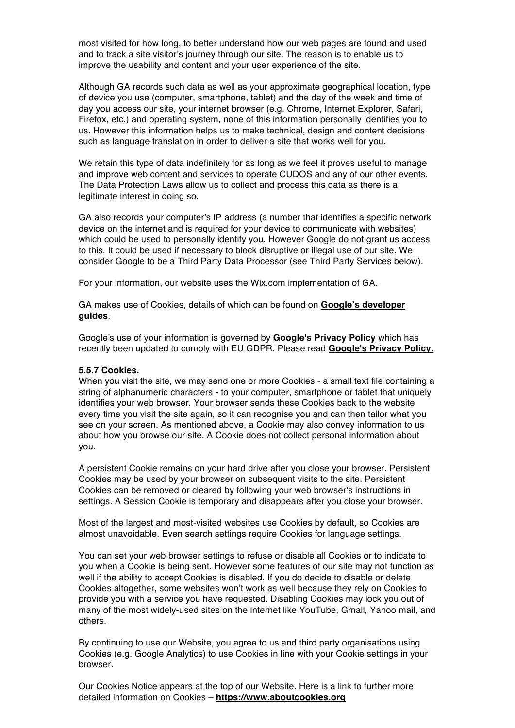most visited for how long, to better understand how our web pages are found and used and to track a site visitor's journey through our site. The reason is to enable us to improve the usability and content and your user experience of the site.

Although GA records such data as well as your approximate geographical location, type of device you use (computer, smartphone, tablet) and the day of the week and time of day you access our site, your internet browser (e.g. Chrome, Internet Explorer, Safari, Firefox, etc.) and operating system, none of this information personally identifies you to us. However this information helps us to make technical, design and content decisions such as language translation in order to deliver a site that works well for you.

We retain this type of data indefinitely for as long as we feel it proves useful to manage and improve web content and services to operate CUDOS and any of our other events. The Data Protection Laws allow us to collect and process this data as there is a legitimate interest in doing so.

GA also records your computer's IP address (a number that identifies a specific network device on the internet and is required for your device to communicate with websites) which could be used to personally identify you. However Google do not grant us access to this. It could be used if necessary to block disruptive or illegal use of our site. We consider Google to be a Third Party Data Processor (see Third Party Services below).

For your information, our website uses the Wix.com implementation of GA.

GA makes use of Cookies, details of which can be found on **Google's developer guides**.

Google's use of your information is governed by **Google's Privacy Policy** which has recently been updated to comply with EU GDPR. Please read **Google's Privacy Policy.**

#### **5.5.7 Cookies.**

When you visit the site, we may send one or more Cookies - a small text file containing a string of alphanumeric characters - to your computer, smartphone or tablet that uniquely identifies your web browser. Your browser sends these Cookies back to the website every time you visit the site again, so it can recognise you and can then tailor what you see on your screen. As mentioned above, a Cookie may also convey information to us about how you browse our site. A Cookie does not collect personal information about you.

A persistent Cookie remains on your hard drive after you close your browser. Persistent Cookies may be used by your browser on subsequent visits to the site. Persistent Cookies can be removed or cleared by following your web browser's instructions in settings. A Session Cookie is temporary and disappears after you close your browser.

Most of the largest and most-visited websites use Cookies by default, so Cookies are almost unavoidable. Even search settings require Cookies for language settings.

You can set your web browser settings to refuse or disable all Cookies or to indicate to you when a Cookie is being sent. However some features of our site may not function as well if the ability to accept Cookies is disabled. If you do decide to disable or delete Cookies altogether, some websites won't work as well because they rely on Cookies to provide you with a service you have requested. Disabling Cookies may lock you out of many of the most widely-used sites on the internet like YouTube, Gmail, Yahoo mail, and others.

By continuing to use our Website, you agree to us and third party organisations using Cookies (e.g. Google Analytics) to use Cookies in line with your Cookie settings in your browser.

Our Cookies Notice appears at the top of our Website. Here is a link to further more detailed information on Cookies – **https://www.aboutcookies.org**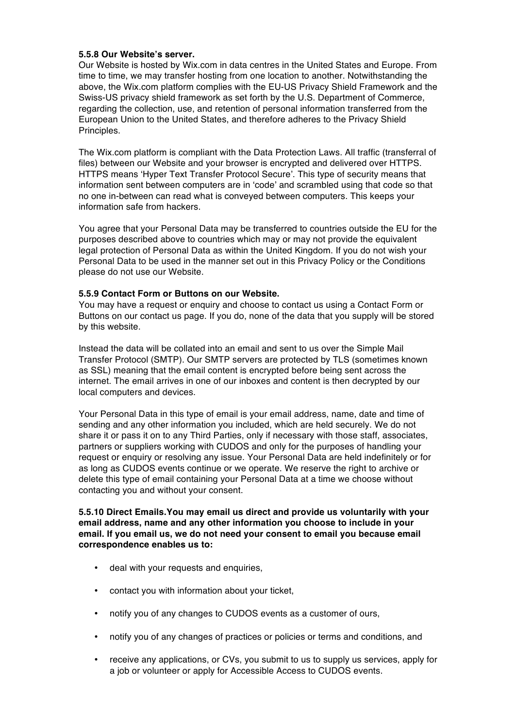#### **5.5.8 Our Website's server.**

Our Website is hosted by Wix.com in data centres in the United States and Europe. From time to time, we may transfer hosting from one location to another. Notwithstanding the above, the Wix.com platform complies with the EU-US Privacy Shield Framework and the Swiss-US privacy shield framework as set forth by the U.S. Department of Commerce, regarding the collection, use, and retention of personal information transferred from the European Union to the United States, and therefore adheres to the Privacy Shield Principles.

The Wix.com platform is compliant with the Data Protection Laws. All traffic (transferral of files) between our Website and your browser is encrypted and delivered over HTTPS. HTTPS means 'Hyper Text Transfer Protocol Secure'. This type of security means that information sent between computers are in 'code' and scrambled using that code so that no one in-between can read what is conveyed between computers. This keeps your information safe from hackers.

You agree that your Personal Data may be transferred to countries outside the EU for the purposes described above to countries which may or may not provide the equivalent legal protection of Personal Data as within the United Kingdom. If you do not wish your Personal Data to be used in the manner set out in this Privacy Policy or the Conditions please do not use our Website.

## **5.5.9 Contact Form or Buttons on our Website.**

You may have a request or enquiry and choose to contact us using a Contact Form or Buttons on our contact us page. If you do, none of the data that you supply will be stored by this website.

Instead the data will be collated into an email and sent to us over the Simple Mail Transfer Protocol (SMTP). Our SMTP servers are protected by TLS (sometimes known as SSL) meaning that the email content is encrypted before being sent across the internet. The email arrives in one of our inboxes and content is then decrypted by our local computers and devices.

Your Personal Data in this type of email is your email address, name, date and time of sending and any other information you included, which are held securely. We do not share it or pass it on to any Third Parties, only if necessary with those staff, associates, partners or suppliers working with CUDOS and only for the purposes of handling your request or enquiry or resolving any issue. Your Personal Data are held indefinitely or for as long as CUDOS events continue or we operate. We reserve the right to archive or delete this type of email containing your Personal Data at a time we choose without contacting you and without your consent.

#### **5.5.10 Direct Emails.You may email us direct and provide us voluntarily with your email address, name and any other information you choose to include in your email. If you email us, we do not need your consent to email you because email correspondence enables us to:**

- deal with your requests and enquiries,
- contact you with information about your ticket,
- notify you of any changes to CUDOS events as a customer of ours,
- notify you of any changes of practices or policies or terms and conditions, and
- receive any applications, or CVs, you submit to us to supply us services, apply for a job or volunteer or apply for Accessible Access to CUDOS events.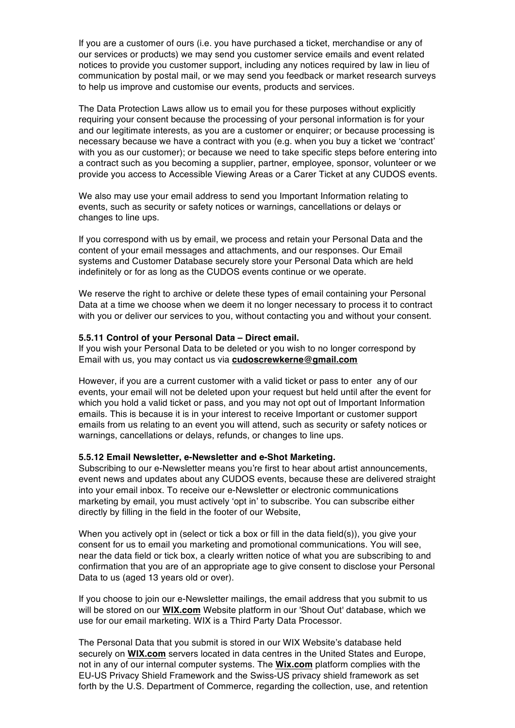If you are a customer of ours (i.e. you have purchased a ticket, merchandise or any of our services or products) we may send you customer service emails and event related notices to provide you customer support, including any notices required by law in lieu of communication by postal mail, or we may send you feedback or market research surveys to help us improve and customise our events, products and services.

The Data Protection Laws allow us to email you for these purposes without explicitly requiring your consent because the processing of your personal information is for your and our legitimate interests, as you are a customer or enquirer; or because processing is necessary because we have a contract with you (e.g. when you buy a ticket we 'contract' with you as our customer); or because we need to take specific steps before entering into a contract such as you becoming a supplier, partner, employee, sponsor, volunteer or we provide you access to Accessible Viewing Areas or a Carer Ticket at any CUDOS events.

We also may use your email address to send you Important Information relating to events, such as security or safety notices or warnings, cancellations or delays or changes to line ups.

If you correspond with us by email, we process and retain your Personal Data and the content of your email messages and attachments, and our responses. Our Email systems and Customer Database securely store your Personal Data which are held indefinitely or for as long as the CUDOS events continue or we operate.

We reserve the right to archive or delete these types of email containing your Personal Data at a time we choose when we deem it no longer necessary to process it to contract with you or deliver our services to you, without contacting you and without your consent.

#### **5.5.11 Control of your Personal Data – Direct email.**

If you wish your Personal Data to be deleted or you wish to no longer correspond by Email with us, you may contact us via **cudoscrewkerne@gmail.com**

However, if you are a current customer with a valid ticket or pass to enter any of our events, your email will not be deleted upon your request but held until after the event for which you hold a valid ticket or pass, and you may not opt out of Important Information emails. This is because it is in your interest to receive Important or customer support emails from us relating to an event you will attend, such as security or safety notices or warnings, cancellations or delays, refunds, or changes to line ups.

#### **5.5.12 Email Newsletter, e-Newsletter and e-Shot Marketing.**

Subscribing to our e-Newsletter means you're first to hear about artist announcements, event news and updates about any CUDOS events, because these are delivered straight into your email inbox. To receive our e-Newsletter or electronic communications marketing by email, you must actively 'opt in' to subscribe. You can subscribe either directly by filling in the field in the footer of our Website,

When you actively opt in (select or tick a box or fill in the data field(s)), you give your consent for us to email you marketing and promotional communications. You will see, near the data field or tick box, a clearly written notice of what you are subscribing to and confirmation that you are of an appropriate age to give consent to disclose your Personal Data to us (aged 13 years old or over).

If you choose to join our e-Newsletter mailings, the email address that you submit to us will be stored on our **WIX.com** Website platform in our 'Shout Out' database, which we use for our email marketing. WIX is a Third Party Data Processor.

The Personal Data that you submit is stored in our WIX Website's database held securely on **WIX.com** servers located in data centres in the United States and Europe, not in any of our internal computer systems. The **Wix.com** platform complies with the EU-US Privacy Shield Framework and the Swiss-US privacy shield framework as set forth by the U.S. Department of Commerce, regarding the collection, use, and retention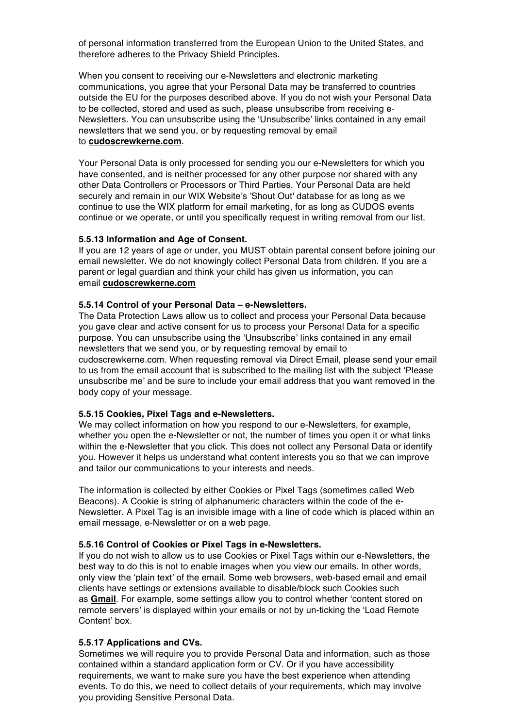of personal information transferred from the European Union to the United States, and therefore adheres to the Privacy Shield Principles.

When you consent to receiving our e-Newsletters and electronic marketing communications, you agree that your Personal Data may be transferred to countries outside the EU for the purposes described above. If you do not wish your Personal Data to be collected, stored and used as such, please unsubscribe from receiving e-Newsletters. You can unsubscribe using the 'Unsubscribe' links contained in any email newsletters that we send you, or by requesting removal by email to **cudoscrewkerne.com**.

Your Personal Data is only processed for sending you our e-Newsletters for which you have consented, and is neither processed for any other purpose nor shared with any other Data Controllers or Processors or Third Parties. Your Personal Data are held securely and remain in our WIX Website's 'Shout Out' database for as long as we continue to use the WIX platform for email marketing, for as long as CUDOS events continue or we operate, or until you specifically request in writing removal from our list.

#### **5.5.13 Information and Age of Consent.**

If you are 12 years of age or under, you MUST obtain parental consent before joining our email newsletter. We do not knowingly collect Personal Data from children. If you are a parent or legal guardian and think your child has given us information, you can email **cudoscrewkerne.com**

#### **5.5.14 Control of your Personal Data – e-Newsletters.**

The Data Protection Laws allow us to collect and process your Personal Data because you gave clear and active consent for us to process your Personal Data for a specific purpose. You can unsubscribe using the 'Unsubscribe' links contained in any email newsletters that we send you, or by requesting removal by email to cudoscrewkerne.com. When requesting removal via Direct Email, please send your email to us from the email account that is subscribed to the mailing list with the subject 'Please unsubscribe me' and be sure to include your email address that you want removed in the body copy of your message.

#### **5.5.15 Cookies, Pixel Tags and e-Newsletters.**

We may collect information on how you respond to our e-Newsletters, for example, whether you open the e-Newsletter or not, the number of times you open it or what links within the e-Newsletter that you click. This does not collect any Personal Data or identify you. However it helps us understand what content interests you so that we can improve and tailor our communications to your interests and needs.

The information is collected by either Cookies or Pixel Tags (sometimes called Web Beacons). A Cookie is string of alphanumeric characters within the code of the e-Newsletter. A Pixel Tag is an invisible image with a line of code which is placed within an email message, e-Newsletter or on a web page.

#### **5.5.16 Control of Cookies or Pixel Tags in e-Newsletters.**

If you do not wish to allow us to use Cookies or Pixel Tags within our e-Newsletters, the best way to do this is not to enable images when you view our emails. In other words, only view the 'plain text' of the email. Some web browsers, web-based email and email clients have settings or extensions available to disable/block such Cookies such as **Gmail**. For example, some settings allow you to control whether 'content stored on remote servers' is displayed within your emails or not by un-ticking the 'Load Remote Content' box.

#### **5.5.17 Applications and CVs.**

Sometimes we will require you to provide Personal Data and information, such as those contained within a standard application form or CV. Or if you have accessibility requirements, we want to make sure you have the best experience when attending events. To do this, we need to collect details of your requirements, which may involve you providing Sensitive Personal Data.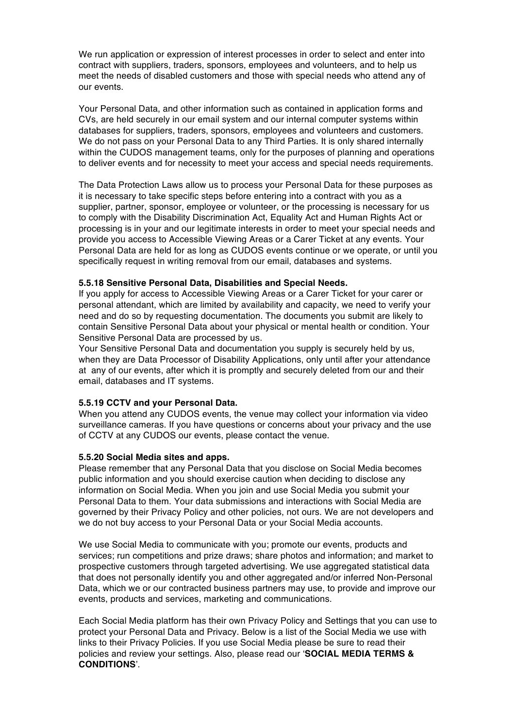We run application or expression of interest processes in order to select and enter into contract with suppliers, traders, sponsors, employees and volunteers, and to help us meet the needs of disabled customers and those with special needs who attend any of our events.

Your Personal Data, and other information such as contained in application forms and CVs, are held securely in our email system and our internal computer systems within databases for suppliers, traders, sponsors, employees and volunteers and customers. We do not pass on your Personal Data to any Third Parties. It is only shared internally within the CUDOS management teams, only for the purposes of planning and operations to deliver events and for necessity to meet your access and special needs requirements.

The Data Protection Laws allow us to process your Personal Data for these purposes as it is necessary to take specific steps before entering into a contract with you as a supplier, partner, sponsor, employee or volunteer, or the processing is necessary for us to comply with the Disability Discrimination Act, Equality Act and Human Rights Act or processing is in your and our legitimate interests in order to meet your special needs and provide you access to Accessible Viewing Areas or a Carer Ticket at any events. Your Personal Data are held for as long as CUDOS events continue or we operate, or until you specifically request in writing removal from our email, databases and systems.

#### **5.5.18 Sensitive Personal Data, Disabilities and Special Needs.**

If you apply for access to Accessible Viewing Areas or a Carer Ticket for your carer or personal attendant, which are limited by availability and capacity, we need to verify your need and do so by requesting documentation. The documents you submit are likely to contain Sensitive Personal Data about your physical or mental health or condition. Your Sensitive Personal Data are processed by us.

Your Sensitive Personal Data and documentation you supply is securely held by us, when they are Data Processor of Disability Applications, only until after your attendance at any of our events, after which it is promptly and securely deleted from our and their email, databases and IT systems.

#### **5.5.19 CCTV and your Personal Data.**

When you attend any CUDOS events, the venue may collect your information via video surveillance cameras. If you have questions or concerns about your privacy and the use of CCTV at any CUDOS our events, please contact the venue.

#### **5.5.20 Social Media sites and apps.**

Please remember that any Personal Data that you disclose on Social Media becomes public information and you should exercise caution when deciding to disclose any information on Social Media. When you join and use Social Media you submit your Personal Data to them. Your data submissions and interactions with Social Media are governed by their Privacy Policy and other policies, not ours. We are not developers and we do not buy access to your Personal Data or your Social Media accounts.

We use Social Media to communicate with you; promote our events, products and services; run competitions and prize draws; share photos and information; and market to prospective customers through targeted advertising. We use aggregated statistical data that does not personally identify you and other aggregated and/or inferred Non-Personal Data, which we or our contracted business partners may use, to provide and improve our events, products and services, marketing and communications.

Each Social Media platform has their own Privacy Policy and Settings that you can use to protect your Personal Data and Privacy. Below is a list of the Social Media we use with links to their Privacy Policies. If you use Social Media please be sure to read their policies and review your settings. Also, please read our '**SOCIAL MEDIA TERMS & CONDITIONS**'.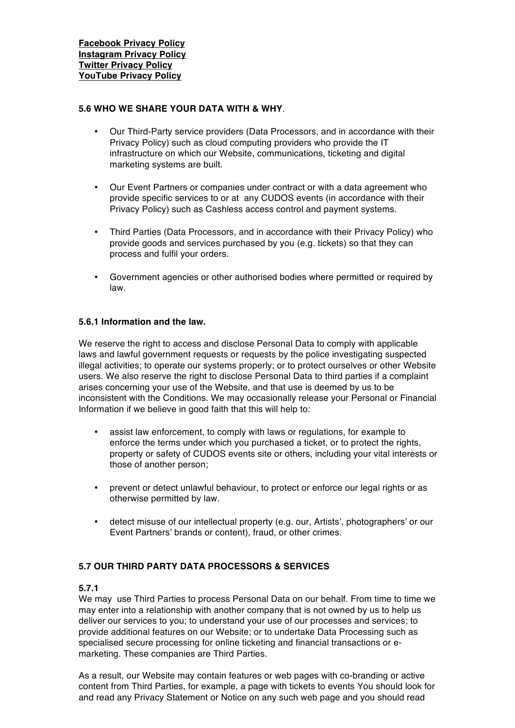## **5.6 WHO WE SHARE YOUR DATA WITH & WHY**.

- Our Third-Party service providers (Data Processors, and in accordance with their Privacy Policy) such as cloud computing providers who provide the IT infrastructure on which our Website, communications, ticketing and digital marketing systems are built.
- Our Event Partners or companies under contract or with a data agreement who provide specific services to or at any CUDOS events (in accordance with their Privacy Policy) such as Cashless access control and payment systems.
- Third Parties (Data Processors, and in accordance with their Privacy Policy) who provide goods and services purchased by you (e.g. tickets) so that they can process and fulfil your orders.
- Government agencies or other authorised bodies where permitted or required by law.

## **5.6.1 Information and the law.**

We reserve the right to access and disclose Personal Data to comply with applicable laws and lawful government requests or requests by the police investigating suspected illegal activities; to operate our systems properly; or to protect ourselves or other Website users. We also reserve the right to disclose Personal Data to third parties if a complaint arises concerning your use of the Website, and that use is deemed by us to be inconsistent with the Conditions. We may occasionally release your Personal or Financial Information if we believe in good faith that this will help to:

- assist law enforcement, to comply with laws or regulations, for example to enforce the terms under which you purchased a ticket, or to protect the rights, property or safety of CUDOS events site or others, including your vital interests or those of another person;
- prevent or detect unlawful behaviour, to protect or enforce our legal rights or as otherwise permitted by law.
- detect misuse of our intellectual property (e.g. our, Artists', photographers' or our Event Partners' brands or content), fraud, or other crimes.

## **5.7 OUR THIRD PARTY DATA PROCESSORS & SERVICES**

#### **5.7.1**

We may use Third Parties to process Personal Data on our behalf. From time to time we may enter into a relationship with another company that is not owned by us to help us deliver our services to you; to understand your use of our processes and services; to provide additional features on our Website; or to undertake Data Processing such as specialised secure processing for online ticketing and financial transactions or emarketing. These companies are Third Parties.

As a result, our Website may contain features or web pages with co-branding or active content from Third Parties, for example, a page with tickets to events You should look for and read any Privacy Statement or Notice on any such web page and you should read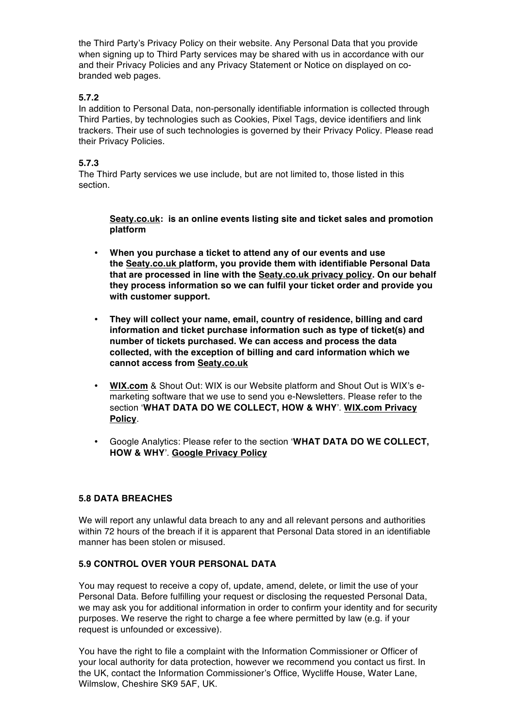the Third Party's Privacy Policy on their website. Any Personal Data that you provide when signing up to Third Party services may be shared with us in accordance with our and their Privacy Policies and any Privacy Statement or Notice on displayed on cobranded web pages.

## **5.7.2**

In addition to Personal Data, non-personally identifiable information is collected through Third Parties, by technologies such as Cookies, Pixel Tags, device identifiers and link trackers. Their use of such technologies is governed by their Privacy Policy. Please read their Privacy Policies.

## **5.7.3**

The Third Party services we use include, but are not limited to, those listed in this section.

**Seaty.co.uk: is an online events listing site and ticket sales and promotion platform**

- **When you purchase a ticket to attend any of our events and use the Seaty.co.uk platform, you provide them with identifiable Personal Data that are processed in line with the Seaty.co.uk privacy policy. On our behalf they process information so we can fulfil your ticket order and provide you with customer support.**
- **They will collect your name, email, country of residence, billing and card information and ticket purchase information such as type of ticket(s) and number of tickets purchased. We can access and process the data collected, with the exception of billing and card information which we cannot access from Seaty.co.uk**
- **WIX.com** & Shout Out: WIX is our Website platform and Shout Out is WIX's emarketing software that we use to send you e-Newsletters. Please refer to the section '**WHAT DATA DO WE COLLECT, HOW & WHY**'. **WIX.com Privacy Policy**.
- Google Analytics: Please refer to the section '**WHAT DATA DO WE COLLECT, HOW & WHY**'. **Google Privacy Policy**

## **5.8 DATA BREACHES**

We will report any unlawful data breach to any and all relevant persons and authorities within 72 hours of the breach if it is apparent that Personal Data stored in an identifiable manner has been stolen or misused.

## **5.9 CONTROL OVER YOUR PERSONAL DATA**

You may request to receive a copy of, update, amend, delete, or limit the use of your Personal Data. Before fulfilling your request or disclosing the requested Personal Data, we may ask you for additional information in order to confirm your identity and for security purposes. We reserve the right to charge a fee where permitted by law (e.g. if your request is unfounded or excessive).

You have the right to file a complaint with the Information Commissioner or Officer of your local authority for data protection, however we recommend you contact us first. In the UK, contact the Information Commissioner's Office, Wycliffe House, Water Lane, Wilmslow, Cheshire SK9 5AF, UK.